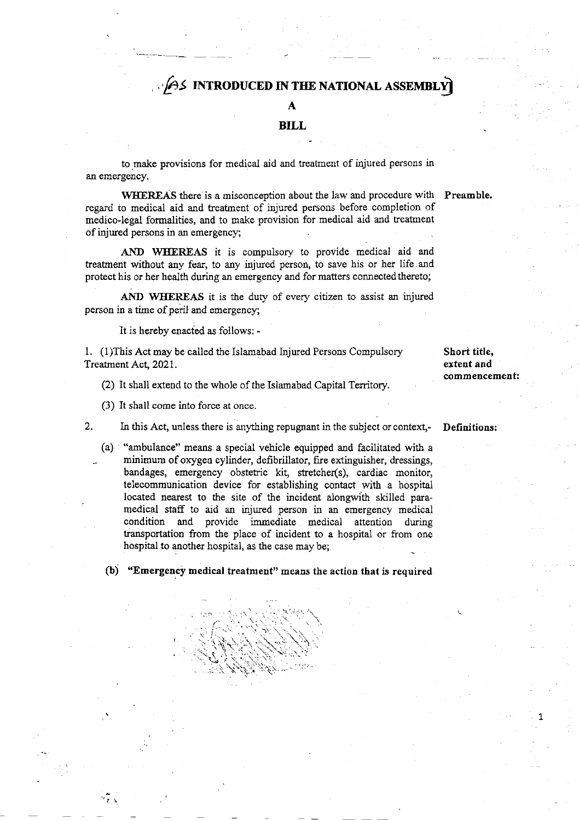## $\rho$ s introduced in the national assembly

## A

#### BILL

to make provisions for medical aid and treatment of injured persons in an emergency.

WHEREAS there is a misconception about the law and procedure with Preamble. regard to medical aid and treatment of injured persons before completion of medico-legal formalities, and to make provision for medical aid and treatment of injured persons in an emergencyi

AND WHEREAS it is compulsory to provide medical aid and treatment without any fear, to any injured person, to save his or her life and protect his or her health during an emergency and for matters connected thereto;

AND WHEREAS it is the duty of every citizen to assist an injured person in a time of peril and emergency;

It is hereby enacted as follows: -

1. (l)This Act may be called the Islamabad Iajured Persons Compulsory Treatment Aot, 2021.

(2) It shall extend to the whole of the Islamabad Capital Territory.

(3) It shall come into force at once.

- $2.$ In this Act, unless there is anything repugnant in the subject or context,-
	- (a) "ambulance" means a special vehicle equipped and facilitated with <sup>a</sup> minimum of orygen cylinder, defibrillator, fire extinguisher, dressings, bandages, emergency obstetric kit, stretcher(s), cardiac monitor, telecommunication device for establishing contact with a hospital located nearest to the sire of the incident alongwith skilled paramedical staff to aid an injured person in an emergency medical condition and provide immediate medical attention during transportation from the place of incident to a hospital or from one hospital to another hospital, as the case may be;

(b) "Emergency medical treatment" means the action that is required

.\

 $\ln \mathbb{C} \leq \frac{1}{\sqrt{2}}$ 

 $\lesssim \frac{1}{\pi} \int_{\mathbb{R}} \rho_{\rm s} \, ,$ 

 $\mathcal{L}$ 

 $\ddot{\phantom{0}}$ 

Short title, extent and commencement:

Definitions:

1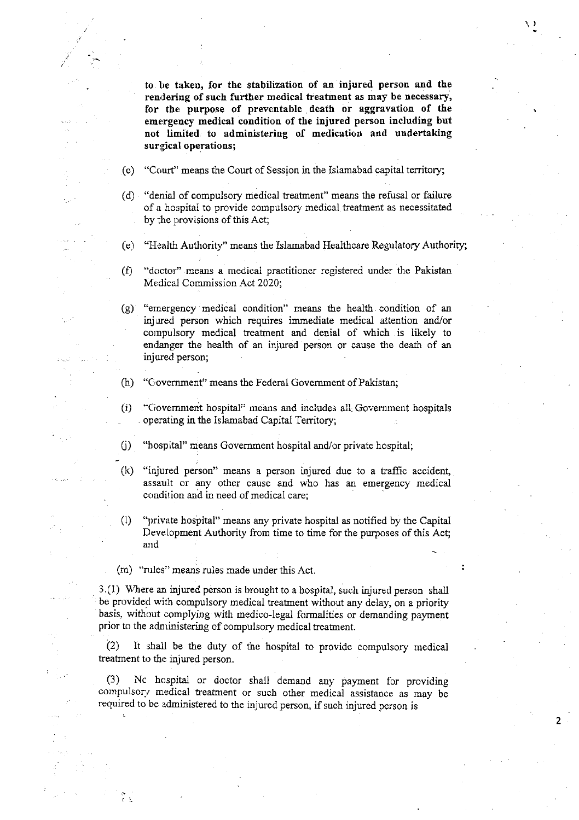to. be taken, for the stabilization of an injured person and the rendering of such further medical treatment as may be necessary, for the purpose of preventable death or aggravation of the emergency medical condition of the injured person including but not limited to administering of medication and undertaking surgical operations;

 $\mathcal{E}$ 

2

- (c) "Court" means the Court of Session in the Islamabad capital territory;
- (d) "denial of compulsory medical treatment" means the refusal or failure of a hospital to provide compulsory medical treatment as necessitated by the provisions of this Act;
- (e) "Health Authority" means the Islamabad Heaithcare Regulatory Authoriry;
- (f) "doctor" means a medical practitioner registered under the Pakistan Medica] Commission Act 2020;
- (g) "ernergency medical condition" means the health condition of an inj ured person which requires immediate medical aftention and/or compulsory medical treatment and denial of which is likely to endanger the health of an injured person or cause the death of an injured person;
- (h) "C,overnmenf' means the Federal Government of Pakistan;
- (i) "C;overnment hospital" means and includes all Govemment hospitals . operating in the Islamabad Capital Territory;
- 0) "hospital" means Govemment hospital and/or private hospital;
- (k) "injured person" means a person injured due to a traffic accident, assault or any other cause and who has an emergency medical condition and in need of medical care;
- (l) "yrrivate hospital" means any private hospital as notified by the Capital Development Authority from time to time for the purposes of this Act; and
- (m) "nrles'' means rules made under this Act.

3.(l) Where aa injured person is brought to a hospital, such injured person shall be provided with compulsory medical treatment without any delay, on a priority basis, without complying with medico-legal formalities or demanding payment prior to the administering of compulsory medical treatment.

 $(2)$  It shall be the duty of the hospital to provide compulsory medical treatment to the injured person.

(3) Nc hospital or doctor shall demaad any payment for providing compulsory medical treatment or such other medical assistance as may be required to be administered to the injured person, if such injured person is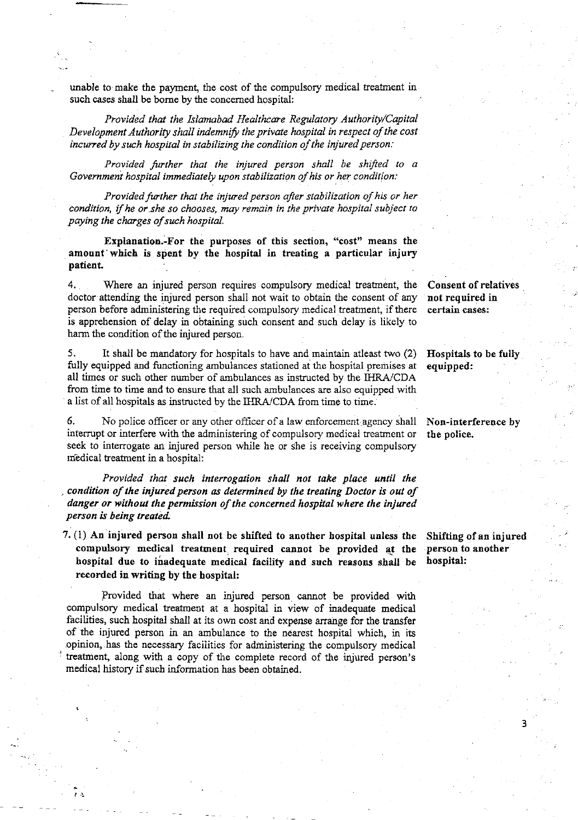unable to make the payment, the cost of the compulsory medical treatment in such cases shall be bome by the concerned hospital:

Provided that the Islamabad Healthcare Regulatory Authority/Capital Development Authority shall indemnify the private hospital in respect of the cost incurred by such hospital in stabilizing the condition of the injured person:

Provided further that the injured person shall be shified to <sup>a</sup> Govemment hospital immediately upon stabilization of his or her condition:

Provided further that the injured person after stabilization of his or her condition, if he or she so chooses, may remain in the private hospital subject to paying the charges of such hospital.

Explanation.-For the purposes of tbis section, "cost" means the amount'which is spent by the hospital in treating a particular injury patient

4. Where an injured person requires compulsory medical treatment, the doctor attending the injured person shall not wait to obtain the consent of any person before administering the required compulsory medical treatment, if there is apprehension of delay in obtaining such consent and such delay is likely to harm the condition of the injured person.

5. ft shall be mandatory for hospitals to have and maintain atleast two (2) fully equipped and functioning ambulances stationed ai the hospital premises at all times or such other number of ambulances as instructed by the IHRA/CDA from time to time and to ensure that all such ambulances are also equipped with a list of all hospitals as instructed by the IHRA/CDA from time to time.

6. No police officer or any other officer of a law enforcement agency shall interrupt or interfere with the administering of compulsory medical treatment or seek to interrogate an injured person while he or she is receiving compulsory medical treatment in a hospital:

Provided that such interrogation shall not take place until the condition of the injured person as determined by the treating Doctor is out of danger or without the permission of the concerned hospital where the injured person is being treated.

7. (1) An injured person shall not be shifted to another hospital unless the compulsory medical treatment required cannot be provided at the hospital due to inadequate medical facility and such reasons shall be recorded in writing by the hospital:

Provided that where an injured person cannot be provided with compulsory medical treatmeot at a hospital in view of inadequate medical facilities, such hospital shall at its own cost and expense arange for the transfer of the injured person in an ambulance to the nearest hospital which, in its opinion, has the necessary facilities for admiristering the compulsory medical treatment, along with a copy of the complete record of the injured person's medical history if such information has been obtained.

Consent of relatives not required in certain cases:

Eospitals to be fully equipped:

Non-interference by the police.

Shifting of an injured person to another hospital:

3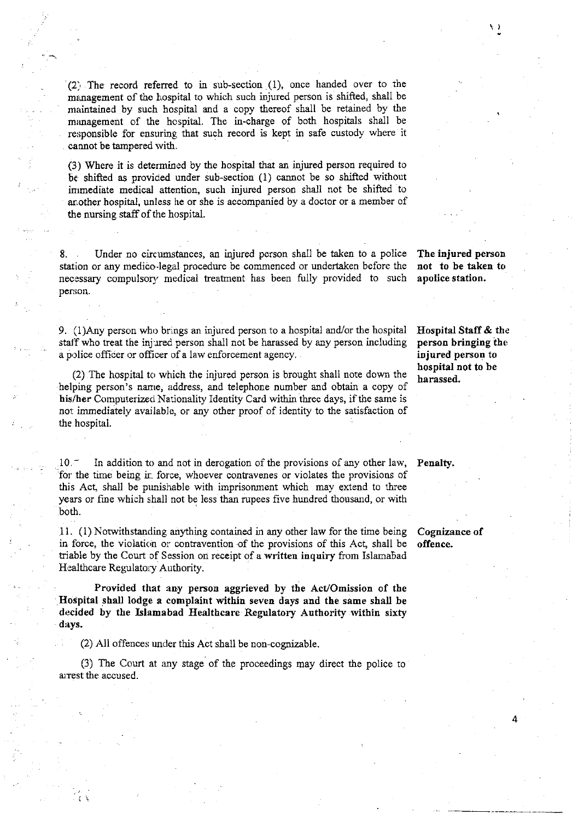(2) The record referred to in sub-section (1), once handed over to the management of the hospital to which such injured person is shifted, shall be maintained by such hospital and a copy thereof shall be retained by the minagement of the hospital. The in-charge of both hospitals shall be responsible for ensuring that such record is kept in safe custody where it cannot be tampered with.

(3) Where it is determined by the hospital that an injured person required to be shifted as provided under sub-section (1) cannot be so shifted without immediate medical attention, such injured person shall not be shifted to ar,other hospital, unless he or she is accompanied by a doctor or a member of the nursing staff of the hospital.

Under no circumstances, an injured person shall be taken to a police station or any medico-legal procedure be commenced or undertaken before the necessary compulsory medical treatment has been fully provided to such person.

9. (1)Any person who brings an injured person to a hospital and/or the hospital staff who treat the injured person shall not be harassed by any person including a police officer or officer of a law enforcement agency.

(2) The hospital to which the injured person is brought shall note down the helping person's name, address, and telephone number and obtain a copy of his/her Computerized Nationality Identity Card within three days, if the same is not immediately available, or any other proof of identity to the satisfaction of the hospital.

 $10.$  - In addition to and not in derogation of the provisions of any other law, Penalty. for the time being ir. force, whoever contravenes or violates the provisions of this Act, shall be punishable with imprisonment which may extend to three years or fine which shall not be less thar rupees five hundred thousand, or with both.

t1. (1) Notwithstanding anything contained in any other law for the time being in force, the violation or contravention of the provisions of this Act, shall be triable by the Court of Session on receipt of a written inquiry from Islamabad Healthcare Regulatory Authority.

Provided that any persou aggrieved by the AcVOmission of the Hospital shall lodge a complaint within seven days and the same shall be decided by the Islamabad Healthcare Regulatory Authority within sixty days.

(2) All offences under this Act shall be non-cognizable.

(3) The Court at any stage of the proceedings may direct the police to arrest the accused.

The injured person not to be taken to apolice station,

)

Eospital Staff & the person bringing the injured person to hospital not to be harassed.

Cognizance of offence.

4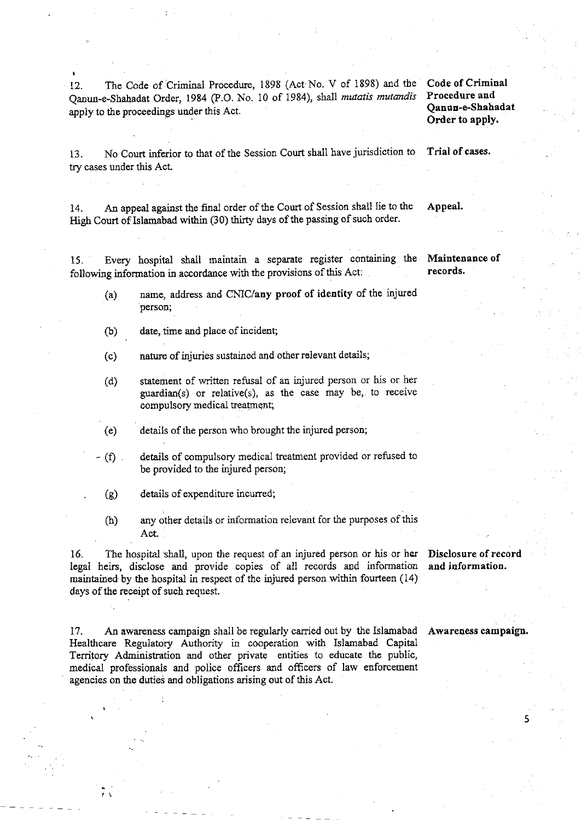12. The Code of Criminal Procedure, 1898 (Act No. V of 1898) and the Code of Criminal Qanun-e-Shahadat Order, 1984 (P.O. No. 10 of 1984), shall mutatis mutandis apply to the proceedings under this Act.

## Procedure and Qanuu-e.Shehadat Order to apply.

13. No Court inferior to that of the Session Court shall have jurisdiction to Trial of cases. try cases under this Act.

14. An appeal against the final order of the Court of Session shall lie to the Appeal. High Court of Islamabad within (30) thirty days of the passing of such order.

15. Every hospital shall maintain a separate register containing the Maintenance of following information in accordance with the provisions of this Act:

- (a) name, address and CNIC/any proof of identity of the injured person;
- (b) date, time and place of incident;
- (c) natue of injuries sustained and other relevant details;
- (d) statement of written refusal of an injured person or his or her guardian(s) or relative(s), as the case may be,. to receive compulsory medical teatment;
- (e) details of the person who brought the injured person;
- (f) details of compulsory medical treatment provided or refused to be provided to the injured person;

(g) details of expenditure incurred;

(h) any other details or information relevant for the purposes of this Act.

16. The hospital shall, upon the request of an injured person or his or her legal heirs, disclose and provide copies of all records and information maintained by the hospital in respect of the injured person within fourteen  $(14)$ days of the receipt of such request.

Disclosure of record and information.

17. An awareness campaign shall be regularly carried out by the Islamabad Awareness campaign. Healthcare Regulatory Authority ia cooperation with Islamabad Capital Territory Administration and other private entities to educate the public, medical professionals and police offrcers and officers of law enforcement agencies on the duties and obligations arising out of this Act.

5

records.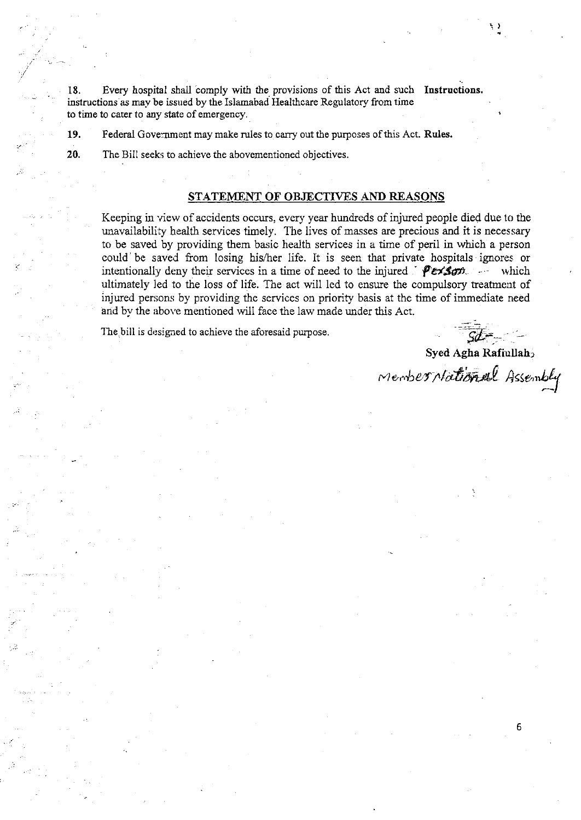18. Every hospital shall comply with the provisions of this Act and such Instructions. instructions as may be issued by the Islamabad Healthcare Regulatory from time to time to cater to any state of emergency.

19, Federal Gove:nment may make rules to carry out the purposes ofthis Act. Rules.

20. The Bill seeks to achieve the abovementioned objectives.

### STATEMENT OF OBJECTIVES AND REASONS

Keeping in view of accidents occurs, every year hundreds of injured people died due to the unavailability health services timely. The lives of masses are precious and it is necessary to be saved by providing them basic heaith services in a time of peril in which a person could be saved from losing his/her life. It is seen that private hospitals ignores or intentionally deny their services in a time of need to the injured '  $Persson -$  which ultimately Ied to the loss of life. The act will 1ed to ensure the compulsory treatment of injured persons by providing the services on priority basis at the time of immediate need and by the above mentioned will face the law made under this Act.

The bill is designed to achieve the aforesaid purpose.

Syed Agha Rafiullah>

member Mational Assembly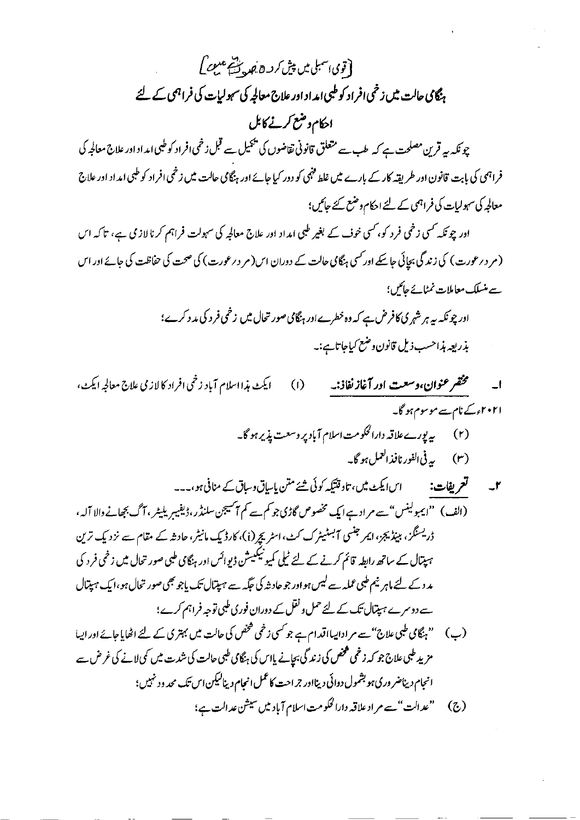[قوی اسمبلی میں پیش کر دے جب سے علیمے کے ہنگامی حالت میں زخمی افراد کو طبی امداد اور علاج معالجہ کی سہولیات کی فراہمی کے لئے احکام وضع کرنے کابل چونکہ یہ قرین مصلحت ہے کہ طب سے متعلق قانونی تقاضوں کی پیمیل سے قبل زخمی افراد کوطیی امداد اور علاج معالجہ کی فراہمی کی بابت قانون اور طریقہ کار کے بارے میں غلط فنہی کو دور کیا جائے اور ہنگامی حالت میں زخمی افراد کو طبی امداد اور علاج معالجہ کی سہولیات کی فراہمی کے لئے احکام وضع کئے جائیں؛ اور چوٹکہ کسی زخمی فرد کو، کسی خوف کے بغیر طبی امداد اور علاج معالجہ کی سہولت فراہم کرنا لاز می ہے، تاکہ اس

(مر دیرعورت) کی زندگی بجائی جاسکے اور کسی ہنگامی حالت کے دوران اس(مر دیرعورت) کی صحت کی حفاظت کی جائے اور اس سسے منسلک معاملات نمٹا نے جائیں؟ اور چو نکہ ہے ہر شہر کی کافرض ہے کہ وہ خطرے اور ہنگامی صور تحال میں زخمی فر د کی مد د کرے؛ بذريعه مذاحسب ذيل قانون وضع كياجاتائب نبه

- مخضر عنوان،وسعت ادر آغاز نفاذنه ايكٹ مذااسلام آباد زخمي افراد كالازمي علاج معالجه ايكٹ،  $(1)$  $\Box$ ا۲۰۲۱ء کے نام سے موسوم ہو گا۔ (۲) یه پورے علاقہ دارالحکومت اسلام آباد پر وسعت پذیر ہو گا۔
	-
- (الف) ''ایمبولینس'' سے مراد ہے ایک مخصوص گاڑی جو کم سے کم آسیجن سلنڈر،ڈیفیبریلیٹر ، آگ بجھانے والا آلہ ، ڈریسنگز، ببیڈیجز، ایمر جنسی آبسٹیٹرک کٹ، اسٹریچر (i)، کارڈیک مانیٹر، حادثہ کے مقام سے نزدیک ترین ہیپتال *کے ساتھ ر*ابطہ قائم کرنے کے لئے ٹیلی کمیونیکییشن ڈیوائس اور ہنگامی طبی صور تحال میں زخمی فر د کی مد د کے لئے ماہر نیم طبی عملہ سے لیس ہواور جو حاد شہ کی جگہ سے ہیپتال تک پاجو بھی صور تحال ہو ،ایک ہیپتال سے دوسرے ہیپتال تک کے لئے حمل و نقل کے دوران فوری طبی توجہ فراہم کرے؛ (پ) سنج پچامی طبی علاج "سے مرادانیااقدام ہے جو <sup>کس</sup>ی زخمی شخص کی حالت میں بہتری کے لئے اٹھایا جائے اور اپیا مزید طبی علاج جو کہ زخمی کھخص کی زندگی بچانے پااس کی ہنگامی طبی حالت کی شدت میں کی لانے کی غرض سے انجام دیناضر وری ہو بشمول دوائی دینااور جراحت کاعمل انجام دینالیکن اس تک محد و د نہیں؛ (ج) "عدالت"سے مراد علاقہ دارالحکومت اسلام آباد میں سیشن عدالت ہے؛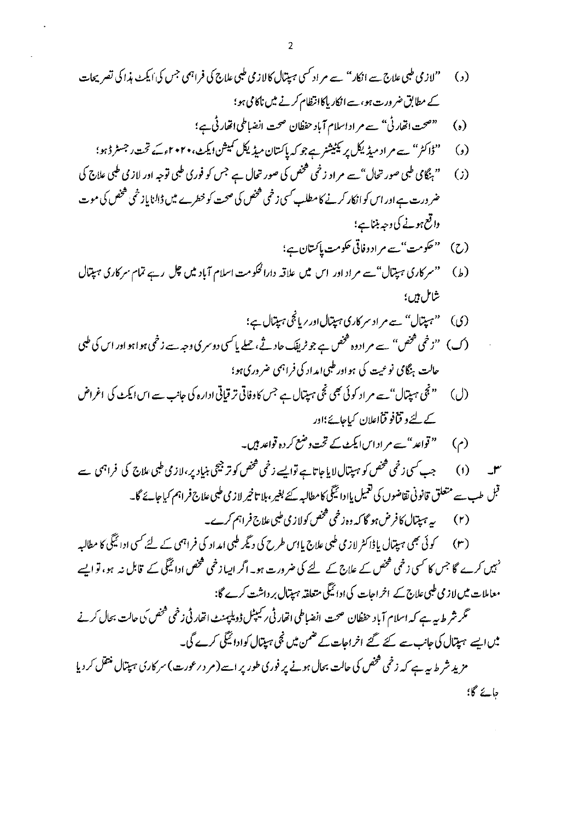<sub>جان</sub>ے گا؛

 $\sim 10^{11}$ 

 $\mathcal{L}^{(1)}$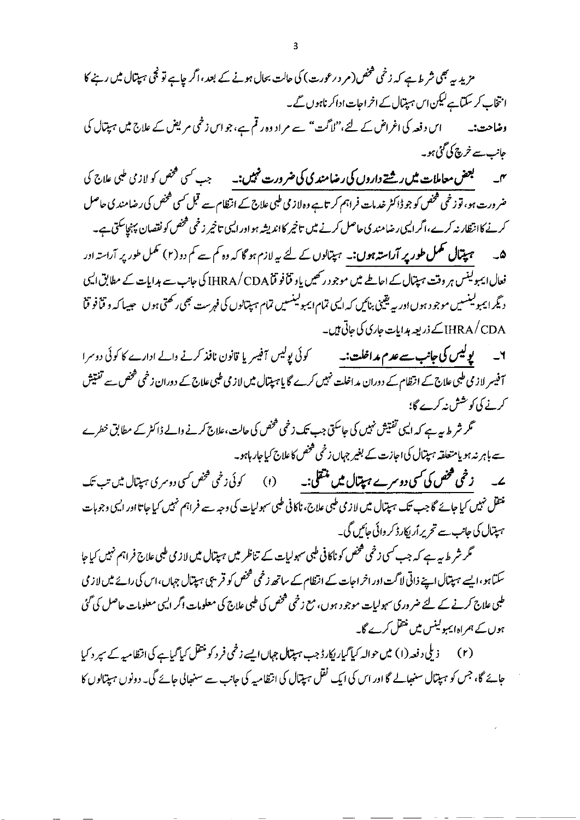اس دفعہ کی اعراض کے لئے،''لا ٹت'' سے مر اد وہ ر تم ہے، جو اس ز نمی مر یکس کے علاج میں ہیپتال کی حانب سے خرچ کی گئی ہو۔

**بعض معاملات میں رشتے داروں کی رضامند کی کی ضرورت نہیں:۔** جب <sup>س</sup>سی خخص کو لاز می طبی علاج کی  $-$ ضر ورت ہو، تو زخمی شخص کو جو ڈاکٹر خدمات فراہم کر تاہے وہ لاز پی طبی علاج کے انتظام سے قبل کسی شخص کی رضامند پی حاصل کرنے کاانتظار نہ کرے،اگر ایسی رضامند ی حاصل کرنے میں تاخیر کااندیشہ ہو اور ایسی تاخیر زخمی فحض کو نقصان پہنچاسکتی ہے۔ ھ۔ <del>ہمیتمال مکمل طور پر آراستہ ہوں:۔ ہمیتالوں کے لئے یہ لازم ہو گا کہ وہ کم سے کم دو(۲) مکمل طور پر آراستہ اور</del> فعال ایمبولینس ہر وقت ہیتال کے اعاطے میں موجود رکھیں یاو قناً فو قاARA/CDA کی جانب سے ہدایات کے مطابق ایمی دیگر ایمبولینسیں موجود ہوں اور پہ یقینی بنائیں کہ ایمی تمام ایمبولینسیں تمام ہپتیالوں کی فہرست بھی رکھتی ہوں ۔ حیسا کہ و قنافو قنا HRA/CDA کے ذریعہ ہدایات جاری کی جاتی ہیں۔

۲۔ ل**یولیس کی جانب سے عدم مداخلت:۔** کوئی پولیس آفیسر یا قانون نافذ کرنے والے ادارے کا کوئی دوسرا آفیسر لازمی طبی علاج کے انتظام کے دوران مداخلت نہیں کرے گا یا ہیپتال میں لازمی طبی علاج کے دوران زخمی فتحص سے تفتیش کرنے کی کوشش پنہ کرے گا؛

گر شر ط بہ ہے کہ ایسی تفتیش نہیں کی جاسکتی جب تک زخمی فتحص کی حالت،علاج کرنے والے ڈاکٹر کے مطابق خطرے سے باہر نہ ہو یامتعلقہ ہیپتال کی اجازت کے بغیر جہاں زخمی فمخص کا علاج کیاجار ہاہو۔

یے۔ زخمی مخض کی *کس*ی دوسرے ہ**یتال میں منتقلی:۔** (۱) کوئی زخمی خض <sup>کس</sup>ی دوسری ہیتال میں تب تک ۔<br>منتقل نہیں کیا جائے گا جب تک ہیپتال میں لازمی طبی علاج، ناکانی طبی سہولیات کی وجہ سے فراہم نہیں کیا جاتا اور ایسی وجوہات ہپتال کی جانب سے تحریر اُریکارڈ کر وائی جائیں گی۔

گر شر ط بہ ہے کہ جب کسی زخمی شخص کو ناکافی طبی سہولیات کے تناظر میں ہیتال میں لاز می طبی علاج فراہم نہیں کیاجا سکتاہو،ایسے ہیپتال اپنے ذاتی لاگت اور اخر اجات کے انتظام کے ساتھ زخمی فمخص کو قریبی ہیپتال جہاں،اس کی رائے میں لاز می طبی علاج کرنے کے لئے ضر وری سہولیات موجو د ہوں، مع زخمی فتخص کی طبی علاج کی معلومات اگر ایسی معلومات حاصل کی گئی ہوں کے ہمراہ ایمبولینس میں منتقل کرے گا۔

جائے گا، جس کو ہیپتال سنبھالے گا اور اس کی ایک نقل ہیپتال کی انتظامیہ کی جانب سے سنبھالی جائے گی۔ دونوں ہیپتالوں کا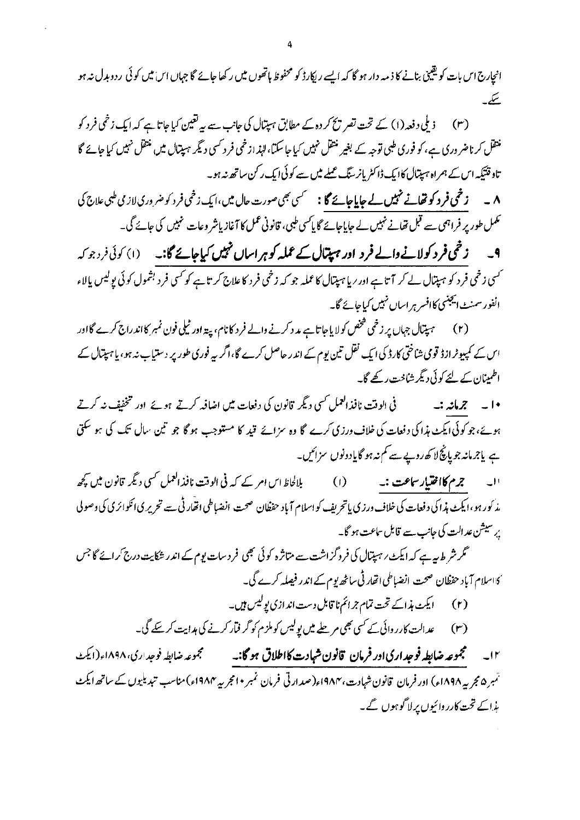انجارج اس بات کویقینی بنانے کا ذمہ دار ہو گا کہ ایسے ریکارڈ کو محفوظ ہاتھوں میں رکھا جائے گا جہاں اس میں کوئی ردوبدل نہ ہو يسكيب

ذیلی دفعہ(۱) کے تحت تصر پیچ کر دہ کے مطابق ہیتال کی جانب سے بیہ تعیین کیا جاتا ہے کہ ایک زخمی فرد کو منتقل کرناضر دری ہے، کو فوری طبی توجہ کے بغیر منتقل نہیں کیا جا سکتا، لہٰذازخمی فر د کسی دیگر ہیپتال میں منتقل نہیں کیا جائے گا تاد قتیکہ اس کے ہمراہ ہیپتال کا ایک ڈاکٹر پانر گیگ عملے میں سے کوئی ایک رکن ساتھ نہ ہو۔

<sup>م</sup>مکمل طور پر فراہمی سے قبل تھانے نہیں لے جاپاجائے گا پاکسی طبی، قانونی عمل کا آغاز پاشر وعات نہیں کی جائے گی۔

9۔ زخمی فرد کولانے والے فرد اور ہیتال *کے عملہ کو ہر*اساں نہیں کیاجائے گا:۔ (۱) کوئی فرد جو کہ <sup>س</sup>ی زخمی فرد کو ہیپتال لے کر آتا ہے اور <sup>ر</sup>یا ہیپتال کا عملہ جو کہ زخمی فرد کا علاج کر تا ہے کو<sup>س</sup>ی فرد بشمول کوئی پولیس پ<u>ا</u>لاء انفور سمنٹ ایجنسی کاافسر ہر اساں نہیں کیاجائے گا۔

(۲) ہیپتال جہاں پر زخمی فحض کولایاجاتا ہے مد د کرنے والے فر د کانام، پیډ اور ٹیلی فون نمبر کااند راج کرے گا اور اس کے کمپیوٹرازڈ قومی شاختی کارڈ کی ایک نقل تین یوم کے اندر حاصل کرے گا،اگر یہ فوری طور پر دستیاب نہ ہو، یاہپتال کے اطمینان کے لئے کوئی دیگر شاخت رکھے گا۔

فی الوقت نافذ العمل کسی دیگر قانون کی دفعات میں اضافہ کرتے ہوئے اور تخفیف نہ کرتے ۱۰ په جرمانه :په ہوئے،جو کوئی ایکٹ ہذا کی دفعات کی خلاف ورزی کرے گا وہ سزائے قید کا مستوجب ہو گا جو تین سال تک کی ہو سکتی ہے یاجرمانہ جو پانچ لا کھ روپے سے کم نہ ہو گایادونوں سزائیں۔

'ا۔ ترم **کااختیار ساعت :۔** (1) بلالحاظ اس امر کے کہ فی الوقت نافذ العمل <sup>کس</sup>ی دیگر قانون میں کچھ مذ کور ہو،ایکٹ ہذا کی دفعات کی خلاف ورزی پاتحریف کو اسلام آباد حفظان صحت انضباطی اتفار ٹی سے تحریر کی انکوائری کی وصولی یر سیشن عد الت کی جانب سے قابل ساعت ہو گا۔

گر شر ط ہہ ہے کہ ایکٹ ر ہیپتال کی فروگزاشت سے متاثرہ کوئی بھی فرد سات یوم کے اندر شکایت درج کرائے گا جس <sup>،</sup> کااسلام آباد حفظان صحت انضباطی ات<sub>ھا</sub>ر ٹی ساٹھ پوم کے اندر فیصلہ کرے گی۔

- 
- عد الت کارر وائی کے کسی بھی مر چلے میں یولیس کو ملزم کو گر فیار کرنے کی ہدایت کر پکے گی۔  $(r)$

۱۲\_\_\_ مجموعه ضابطه فوجداري اور فرمان قانون شبادت کااطلاق ہو گا:۔ \_\_\_\_ مجموعه ضابطه فوجداری، ۱۸۹۸ء(ایک تہرہ مجر یہ ۱۸۹۸ء) اور فرمان قانون شہادت، ۱۹۸۴ء(صدارتی فرمان نمبر • امجر یہ ۱۹۸۴ء)مناسب تبدیلیوں کے ساتھ ایکٹ ہذاکے تحت کارر وائیوں پر لاگوہوں گے۔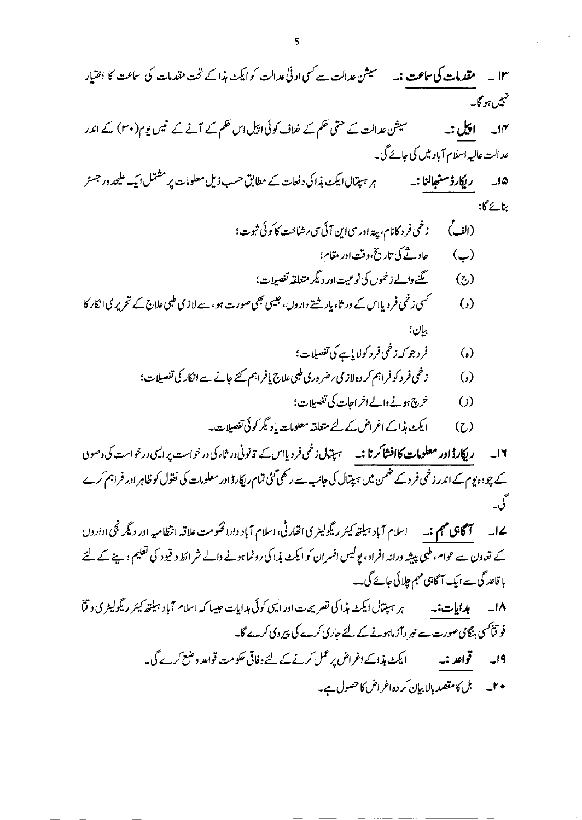(ہ) 
$$
\dot{\xi}_1(z) = \xi_1(z) \xi_2(z) \xi_3(z) \xi_4(z)
$$

- زخمی فر د کو فراہم کر دہ لاز می ر ضر وری طبی علاج یافراہم کئے جانے سے انکار کی تفصیلات؛  $\odot$ 
	- خرچ ہونے والے اخر احات کی تفصیلات؛  $\left( \cdot \right)$
	- ایکٹ ہذاکے اغراض کے لئے متعلقہ معلومات بادیگر کوئی تفصیلات۔ ( C )

ر **پکارڈ اور معلومات کاافشاکرنا :۔** سیپتال زخمی فردیااس کے قانونی در ثاء کی در خواست پر ایسی درخواست کی وصولی  $L = 11$ کے چو دہ یوم کے اندر زخمی فر د کے ضمن میں ہپتال کی جانب سے رکھی گئی تمام ریکارڈ اور معلومات کی نفول کو ظاہر اور فراہم کرے گ -

یے1۔ سم**سم کلی مہم :۔** سماع آباد ہیلت*ھ کیئر ریگ*ولیٹری اتھارٹی، اسلام آباد دارالحکومت علاقہ انتظامیہ اور دیگر نجی اداروں کے تعاون سے عوام، طبی پیشہ ورانہ افراد، پولیس افسران کو ایکٹ ہذا کی رونما ہونے والے شر اکط و قیود کی تعلیم دینے کے لئے با قاعد گی سے ایک آگاہی مہم جلائی جائے گی۔۔

ہر ہپتال ایکٹ ہذا کی تصریحات اور ایسی کوئی ہدایات حبیبا کہ اسلام آباد ہیلتھ کیئر ریگولیٹر ی و قنا ۱۸۔ ہدایات:۔ فو قناسی ہنگامی صورت سے نبر دآزماہونے کے لئے جاری کرے کی پیروی کرے گا۔

- ایکٹ ہذاکے اغراض پر عمل کرنے کے لئے وفاتی حکومت قواعد وضع کرے گی۔ قواعد :۔  $-19$ 
	- ۲۔ بل کامقصد بالا بیان کر دہ اغراض کا حصول ہے۔